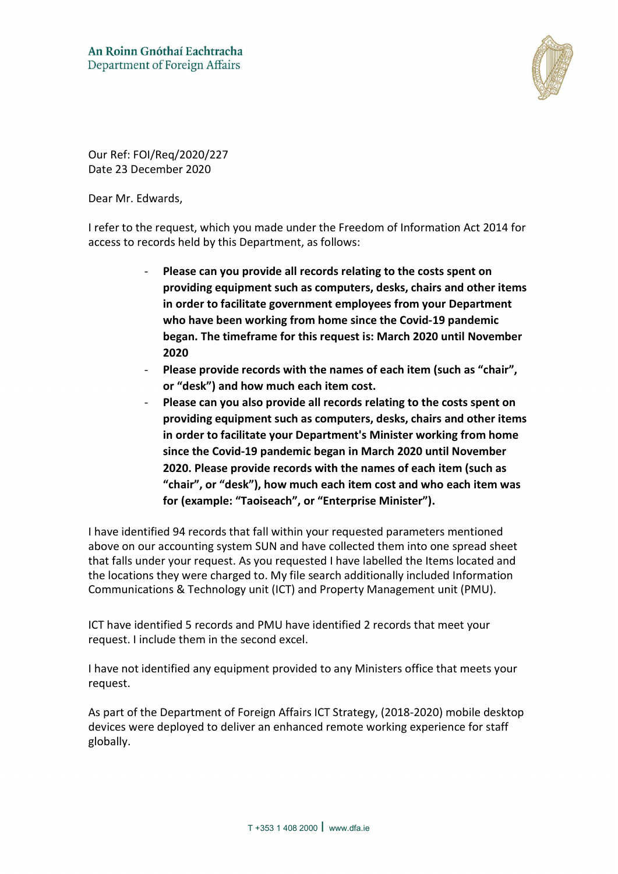

Our Ref: FOI/Req/2020/227 Date 23 December 2020

Dear Mr. Edwards,

I refer to the request, which you made under the Freedom of Information Act 2014 for access to records held by this Department, as follows:

- Please can you provide all records relating to the costs spent on providing equipment such as computers, desks, chairs and other items in order to facilitate government employees from your Department who have been working from home since the Covid-19 pandemic began. The timeframe for this request is: March 2020 until November 2020
- Please provide records with the names of each item (such as "chair", or "desk") and how much each item cost.
- Please can you also provide all records relating to the costs spent on providing equipment such as computers, desks, chairs and other items in order to facilitate your Department's Minister working from home since the Covid-19 pandemic began in March 2020 until November 2020. Please provide records with the names of each item (such as "chair", or "desk"), how much each item cost and who each item was for (example: "Taoiseach", or "Enterprise Minister").

I have identified 94 records that fall within your requested parameters mentioned above on our accounting system SUN and have collected them into one spread sheet that falls under your request. As you requested I have labelled the Items located and the locations they were charged to. My file search additionally included Information Communications & Technology unit (ICT) and Property Management unit (PMU).

ICT have identified 5 records and PMU have identified 2 records that meet your request. I include them in the second excel.

I have not identified any equipment provided to any Ministers office that meets your request.

As part of the Department of Foreign Affairs ICT Strategy, (2018-2020) mobile desktop devices were deployed to deliver an enhanced remote working experience for staff globally.